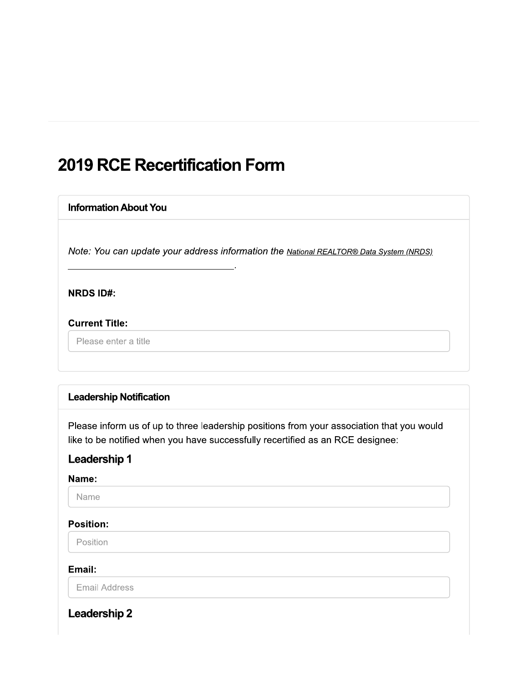## **2019 RCE Recertification Form**

# **Information About You**

Note: You can update your address information the National REALTOR® Data System (NRDS).

**NRDS ID#:** 

#### **Current Title:**

Please enter a title

#### **Leadership Notification**

Please inform us of up to three leadership positions from your association that you would like to be notified when you have successfully recertified as an RCE designee:

### **Leadership 1**

#### Name:

Name

#### **Position:**

Position

#### Email:

**Email Address** 

## **Leadership 2**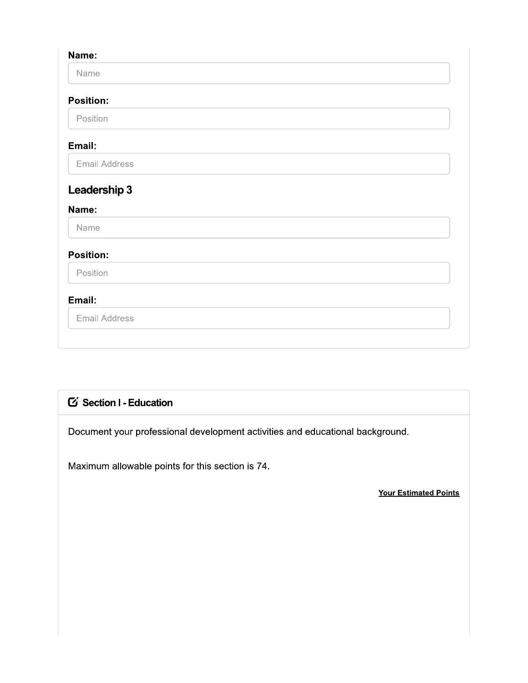| Name:                                               |  |  |  |
|-----------------------------------------------------|--|--|--|
| Name                                                |  |  |  |
| <b>Position:</b>                                    |  |  |  |
| Position                                            |  |  |  |
| Email:                                              |  |  |  |
| <b>Email Address</b>                                |  |  |  |
|                                                     |  |  |  |
|                                                     |  |  |  |
|                                                     |  |  |  |
| Name                                                |  |  |  |
|                                                     |  |  |  |
| Position                                            |  |  |  |
| Leadership 3<br>Name:<br><b>Position:</b><br>Email: |  |  |  |

## G Section I - Education

Document your professional development activities and educational background.

Maximum allowable points for this section is 74.

**Your Estimated Points**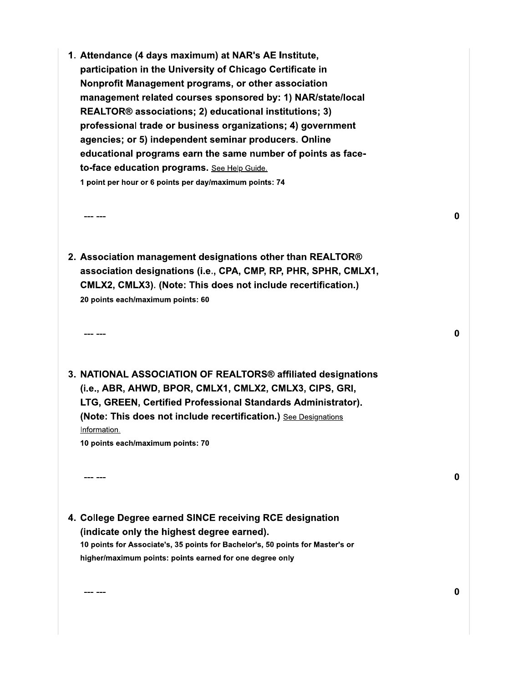1. Attendance (4 days maximum) at NAR's AE Institute, participation in the University of Chicago Certificate in Nonprofit Management programs, or other association management related courses sponsored by: 1) NAR/state/local REALTOR® associations; 2) educational institutions; 3) professional trade or business organizations; 4) government agencies; or 5) independent seminar producers. Online educational programs earn the same number of points as faceto-face education programs. See Help Guide. 1 point per hour or 6 points per day/maximum points: 74

 $\begin{array}{ccc} - & - & - \\ - & - & - \end{array}$ 

- 2. Association management designations other than REALTOR® association designations (i.e., CPA, CMP, RP, PHR, SPHR, CMLX1, CMLX2, CMLX3). (Note: This does not include recertification.) 20 points each/maximum points: 60
- 3. NATIONAL ASSOCIATION OF REALTORS® affiliated designations (i.e., ABR, AHWD, BPOR, CMLX1, CMLX2, CMLX3, CIPS, GRI, LTG, GREEN, Certified Professional Standards Administrator). (Note: This does not include recertification.) See Designations Information.

10 points each/maximum points: 70

 $--- - - - -$ 

-- ---

4. College Degree earned SINCE receiving RCE designation (indicate only the highest degree earned). 10 points for Associate's, 35 points for Bachelor's, 50 points for Master's or higher/maximum points: points earned for one degree only

0

 $\bf{0}$ 

 $\mathbf 0$ 

 $\bf{0}$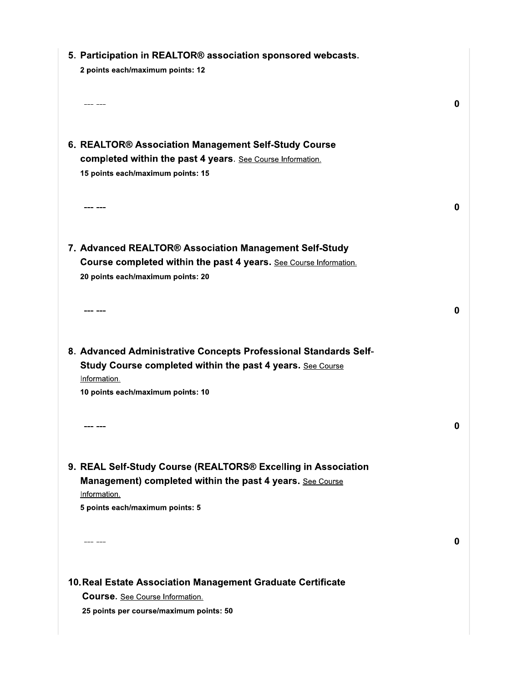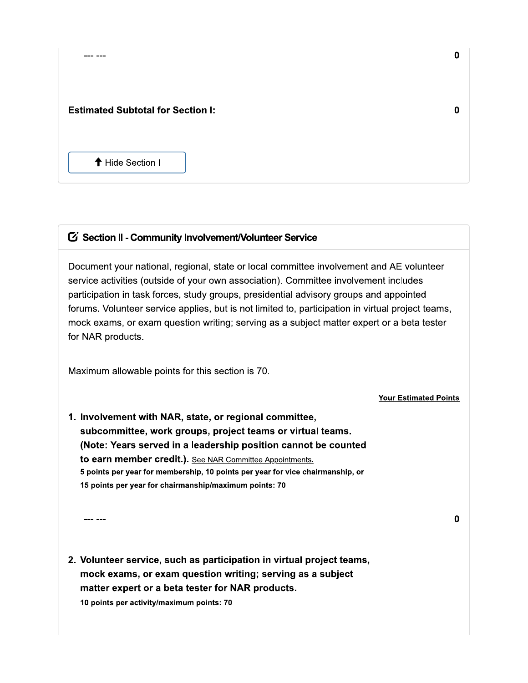| <b>Estimated Subtotal for Section I:</b> |  |  |
|------------------------------------------|--|--|
|                                          |  |  |

↑ Hide Section I

--- ---

#### G Section II - Community Involvement/Volunteer Service

Document your national, regional, state or local committee involvement and AE volunteer service activities (outside of your own association). Committee involvement includes participation in task forces, study groups, presidential advisory groups and appointed forums. Volunteer service applies, but is not limited to, participation in virtual project teams, mock exams, or exam question writing; serving as a subject matter expert or a beta tester for NAR products.

Maximum allowable points for this section is 70.

**Your Estimated Points** 

1. Involvement with NAR, state, or regional committee, subcommittee, work groups, project teams or virtual teams. (Note: Years served in a leadership position cannot be counted to earn member credit.). See NAR Committee Appointments. 5 points per year for membership, 10 points per year for vice chairmanship, or 15 points per year for chairmanship/maximum points: 70

2. Volunteer service, such as participation in virtual project teams, mock exams, or exam question writing; serving as a subject matter expert or a beta tester for NAR products.

10 points per activity/maximum points: 70

--- ---

 $\mathbf{0}$ 

 $\bf{0}$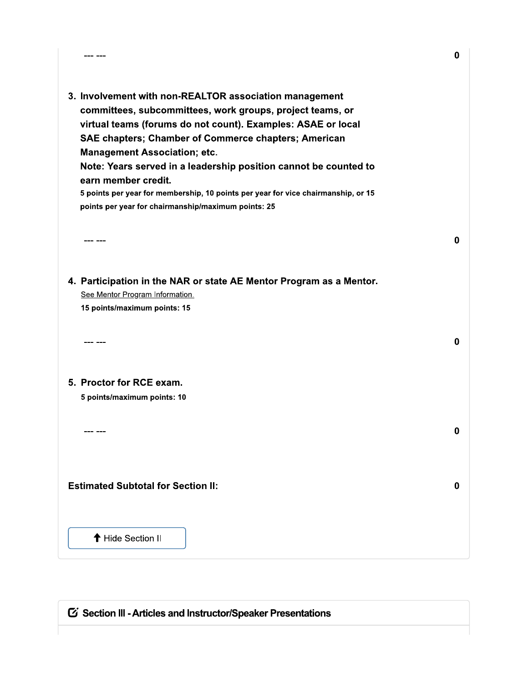| --- ---                                                                                                                                                                                                                                                                                   | 0        |
|-------------------------------------------------------------------------------------------------------------------------------------------------------------------------------------------------------------------------------------------------------------------------------------------|----------|
| 3. Involvement with non-REALTOR association management<br>committees, subcommittees, work groups, project teams, or<br>virtual teams (forums do not count). Examples: ASAE or local<br><b>SAE chapters; Chamber of Commerce chapters; American</b><br><b>Management Association; etc.</b> |          |
| Note: Years served in a leadership position cannot be counted to<br>earn member credit.<br>5 points per year for membership, 10 points per year for vice chairmanship, or 15<br>points per year for chairmanship/maximum points: 25                                                       |          |
| --- ---                                                                                                                                                                                                                                                                                   | 0        |
| 4. Participation in the NAR or state AE Mentor Program as a Mentor.<br>See Mentor Program Information.<br>15 points/maximum points: 15                                                                                                                                                    |          |
| --- ---                                                                                                                                                                                                                                                                                   | $\bf{0}$ |
| 5. Proctor for RCE exam.<br>5 points/maximum points: 10                                                                                                                                                                                                                                   |          |
| --- ---                                                                                                                                                                                                                                                                                   | 0        |
| <b>Estimated Subtotal for Section II:</b>                                                                                                                                                                                                                                                 | $\bf{0}$ |
| ← Hide Section II                                                                                                                                                                                                                                                                         |          |

G Section III - Articles and Instructor/Speaker Presentations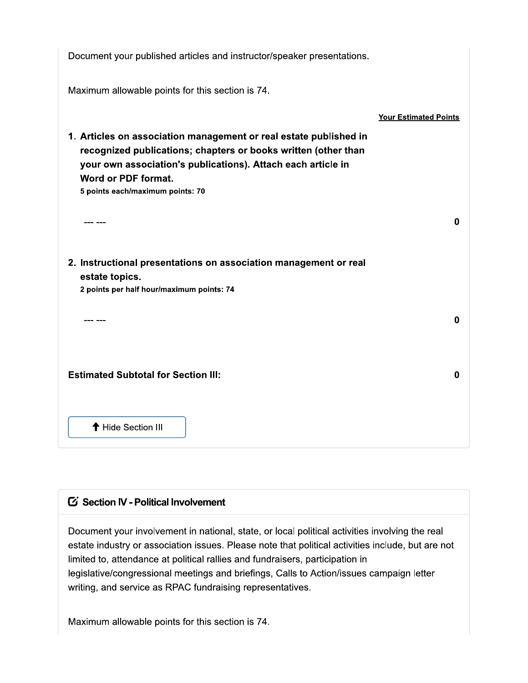| Document your published articles and instructor/speaker presentations.                                                                                                                                                     |                              |
|----------------------------------------------------------------------------------------------------------------------------------------------------------------------------------------------------------------------------|------------------------------|
| Maximum allowable points for this section is 74.                                                                                                                                                                           |                              |
|                                                                                                                                                                                                                            | <b>Your Estimated Points</b> |
| 1. Articles on association management or real estate published in<br>recognized publications; chapters or books written (other than<br>your own association's publications). Attach each article in<br>Word or PDF format. |                              |
| 5 points each/maximum points: 70                                                                                                                                                                                           |                              |
| --- ---                                                                                                                                                                                                                    | 0                            |
| 2. Instructional presentations on association management or real<br>estate topics.                                                                                                                                         |                              |
| 2 points per half hour/maximum points: 74                                                                                                                                                                                  |                              |
| --- ---                                                                                                                                                                                                                    | 0                            |
| <b>Estimated Subtotal for Section III:</b>                                                                                                                                                                                 | $\bf{0}$                     |
| ↑ Hide Section III                                                                                                                                                                                                         |                              |

## G Section IV - Political Involvement

Document your involvement in national, state, or local political activities involving the real estate industry or association issues. Please note that political activities include, but are not limited to, attendance at political rallies and fundraisers, participation in legislative/congressional meetings and briefings, Calls to Action/issues campaign letter writing, and service as RPAC fundraising representatives.

Maximum allowable points for this section is 74.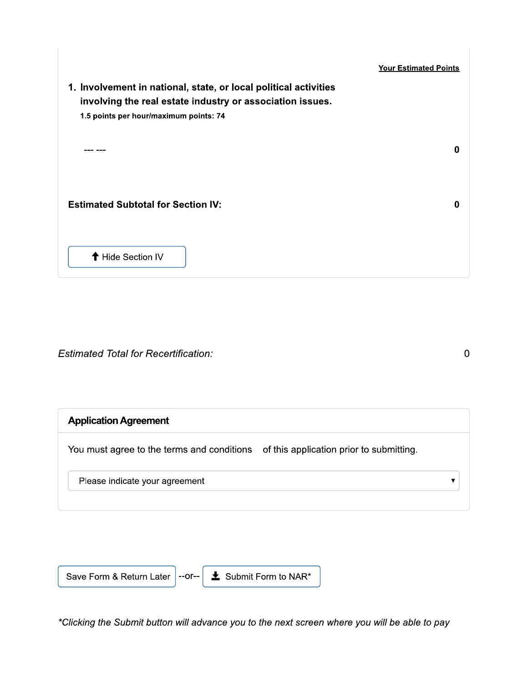|                                                                                                                                                                         | <b>Your Estimated Points</b> |
|-------------------------------------------------------------------------------------------------------------------------------------------------------------------------|------------------------------|
| 1. Involvement in national, state, or local political activities<br>involving the real estate industry or association issues.<br>1.5 points per hour/maximum points: 74 |                              |
|                                                                                                                                                                         | 0                            |
| <b>Estimated Subtotal for Section IV:</b>                                                                                                                               | 0                            |
| ↑ Hide Section IV                                                                                                                                                       |                              |

**Estimated Total for Recertification:** 

 $\pmb{0}$ 

 $\bar{\blacktriangledown}$ 

## **Application Agreement**

You must agree to the terms and conditions of this application prior to submitting.

Please indicate your agreement



\*Clicking the Submit button will advance you to the next screen where you will be able to pay